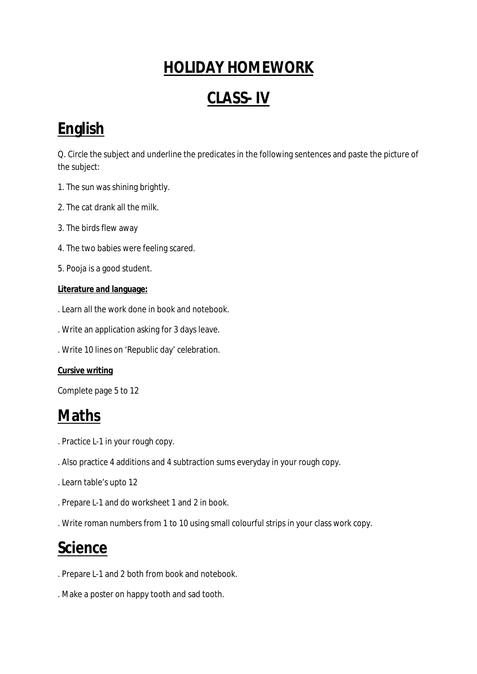## **HOLIDAY HOMEWORK**

## **CLASS- IV**

## **English**

Q. Circle the subject and underline the predicates in the following sentences and paste the picture of the subject:

- 1. The sun was shining brightly.
- 2. The cat drank all the milk.
- 3. The birds flew away
- 4. The two babies were feeling scared.
- 5. Pooja is a good student.

#### **Literature and language:**

- . Learn all the work done in book and notebook.
- . Write an application asking for 3 days leave.
- . Write 10 lines on 'Republic day' celebration.

#### **Cursive writing**

Complete page 5 to 12

#### **Maths**

- . Practice L-1 in your rough copy.
- . Also practice 4 additions and 4 subtraction sums everyday in your rough copy.
- . Learn table's upto 12
- . Prepare L-1 and do worksheet 1 and 2 in book.
- . Write roman numbers from 1 to 10 using small colourful strips in your class work copy.

## **Science**

- . Prepare L-1 and 2 both from book and notebook.
- . Make a poster on happy tooth and sad tooth.